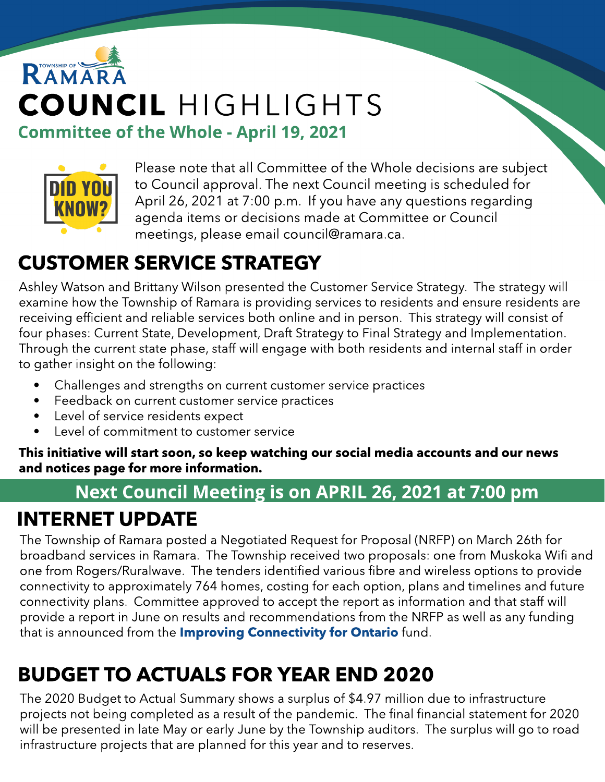# RAMAR COUNCIL HIGHLIGHTS **Committee of the Whole - April 19, 2021**



Please note that all Committee of the Whole decisions are subject to Council approval. The next Council meeting is scheduled for April 26, 2021 at 7:00 p.m. If you have any questions regarding agenda items or decisions made at Committee or Council meetings, please email council@ramara.ca.

## CUSTOMER SERVICE STRATEGY

Ashley Watson and Brittany Wilson presented the Customer Service Strategy. The strategy will examine how the Township of Ramara is providing services to residents and ensure residents are receiving efficient and reliable services both online and in person. This strategy will consist of four phases: Current State, Development, Draft Strategy to Final Strategy and Implementation. Through the current state phase, staff will engage with both residents and internal staff in order to gather insight on the following:

- Challenges and strengths on current customer service practices
- Feedback on current customer service practices
- Level of service residents expect
- Level of commitment to customer service

This initiative will start soon, so keep watching our social media accounts and our news and notices page for more information.

## Next Council Meeting is on APRIL 26, 2021 at 7:00 pm

## INTERNET UPDATE

The Township of Ramara posted a Negotiated Request for Proposal (NRFP) on March 26th for broadband services in Ramara. The Township received two proposals: one from Muskoka Wifi and one from Rogers/Ruralwave. The tenders identified various fibre and wireless options to provide connectivity to approximately 764 homes, costing for each option, plans and timelines and future connectivity plans. Committee approved to accept the report as information and that staff will provide a report in June on results and recommendations from the NRFP as well as any funding that is announced from the **[Improving](https://www.ontario.ca/page/connecting-ontario-improving-broadband-and-cellular-access) [Connectivity](https://www.ontario.ca/page/connecting-ontario-improving-broadband-and-cellular-access) [for](https://www.ontario.ca/page/connecting-ontario-improving-broadband-and-cellular-access) [Ontario](https://www.ontario.ca/page/connecting-ontario-improving-broadband-and-cellular-access)** fund.

## BUDGET TO ACTUALS FOR YEAR END 2020

The 2020 Budget to Actual Summary shows a surplus of \$4.97 million due to infrastructure projects not being completed as a result of the pandemic. The final financial statement for 2020 will be presented in late May or early June by the Township auditors. The surplus will go to road infrastructure projects that are planned for this year and to reserves.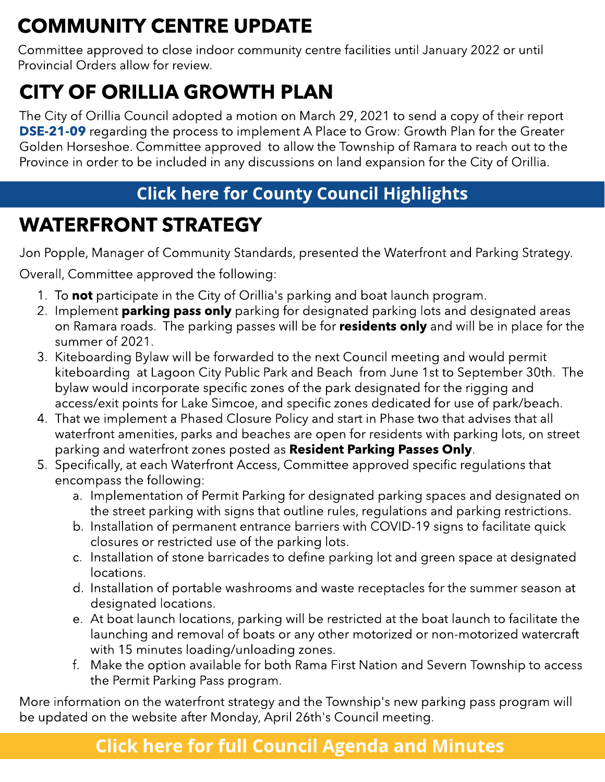## COMMUNITY CENTRE UPDATE

Committee approved to close indoor community centre facilities until January 2022 or until Provincial Orders allow for review.

## CITY OF ORILLIA GROWTH PLAN

The City of Orillia Council adopted a motion on March 29, 2021 to send a copy of their report [DSE-21-09](https://orillia.civicweb.net/filepro/documents/250149?preview=255482) regarding the process to implement A Place to Grow: Growth Plan for the Greater Golden Horseshoe. Committee approved to allow the Township of Ramara to reach out to the Province in order to be included in any discussions on land expansion for the City of Orillia.

### **[Click](https://www.simcoe.ca/dpt/ccd/newsletters) [here](https://www.simcoe.ca/dpt/ccd/newsletters) [for](https://www.simcoe.ca/dpt/ccd/newsletters) [Count](https://www.simcoe.ca/dpt/ccd/newsletters)y [Council](https://www.simcoe.ca/dpt/ccd/newsletters) [Highlight](https://www.simcoe.ca/dpt/ccd/newsletters)s**

## WATERFRONT STRATEGY

Jon Popple, Manager of Community Standards, presented the Waterfront and Parking Strategy.

Overall, Committee approved the following:

- 1. To not participate in the City of Orillia's parking and boat launch program.
- 2. Implement **parking pass only** parking for designated parking lots and designated areas on Ramara roads. The parking passes will be for **residents only** and will be in place for the summer of 2021.
- 3. Kiteboarding Bylaw will be forwarded to the next Council meeting and would permit kiteboarding at Lagoon City Public Park and Beach from June 1st to September 30th. The bylaw would incorporate specific zones of the park designated for the rigging and access/exit points for Lake Simcoe, and specific zones dedicated for use of park/beach.
- 4. That we implement a Phased Closure Policy and start in Phase two that advises that all waterfront amenities, parks and beaches are open for residents with parking lots, on street parking and waterfront zones posted as Resident Parking Passes Only.
- 5. Specifically, at each Waterfront Access, Committee approved specific regulations that encompass the following:
	- a. Implementation of Permit Parking for designated parking spaces and designated on the street parking with signs that outline rules, regulations and parking restrictions.
	- b. Installation of permanent entrance barriers with COVID-19 signs to facilitate quick closures or restricted use of the parking lots.
	- c. Installation of stone barricades to define parking lot and green space at designated locations.
	- d. Installation of portable washrooms and waste receptacles for the summer season at designated locations.
	- e. At boat launch locations, parking will be restricted at the boat launch to facilitate the launching and removal of boats or any other motorized or non-motorized watercraft with 15 minutes loading/unloading zones.
	- f. Make the option available for both Rama First Nation and Severn Township to access the Permit Parking Pass program.

More information on the waterfront strategy and the Township's new parking pass program will be updated on the website after Monday, April 26th's Council meeting.

### **[Click](https://ramara.civicweb.net/portal/) [here](https://ramara.civicweb.net/portal/) [for](https://ramara.civicweb.net/portal/) [full](https://ramara.civicweb.net/portal/) [Council](https://ramara.civicweb.net/portal/) [Agenda](https://ramara.civicweb.net/portal/) [and](https://ramara.civicweb.net/portal/) [Minut](https://ramara.civicweb.net/portal/)es**